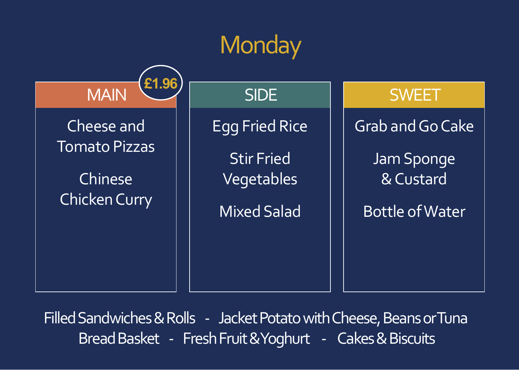# **Monday**

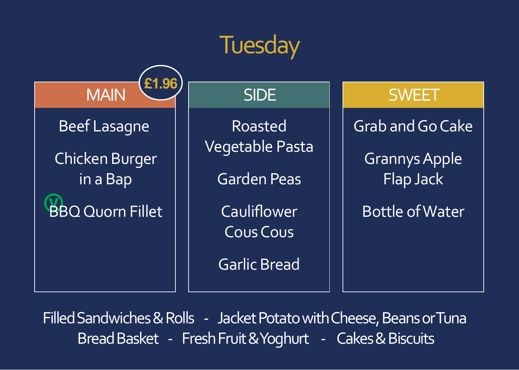# **Tuesday**



SIDE

Roasted Vegetable Pasta

Garden Peas

**Cauliflower** Cous Cous

Garlic Bread

#### **SWEET**

Grab and Go Cake Grannys Apple Flap Jack

Bottle of Water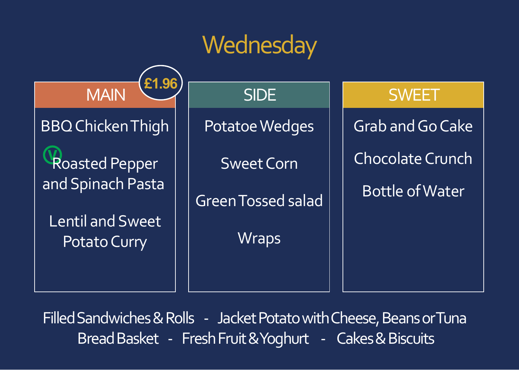### **Wednesday**

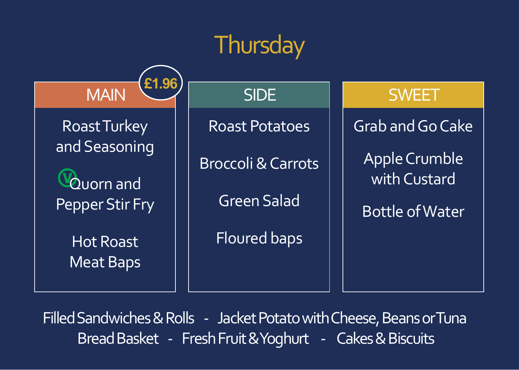# **Thursday**

MAIN Roast Turkey and Seasoning Quorn and Pepper Stir Fry

**£1.96**

Hot Roast Meat Baps Roast Potatoes

SIDE

Broccoli & Carrots

Green Salad

Floured baps

**SWEET** 

Grab and Go Cake Apple Crumble with Custard

Bottle of Water